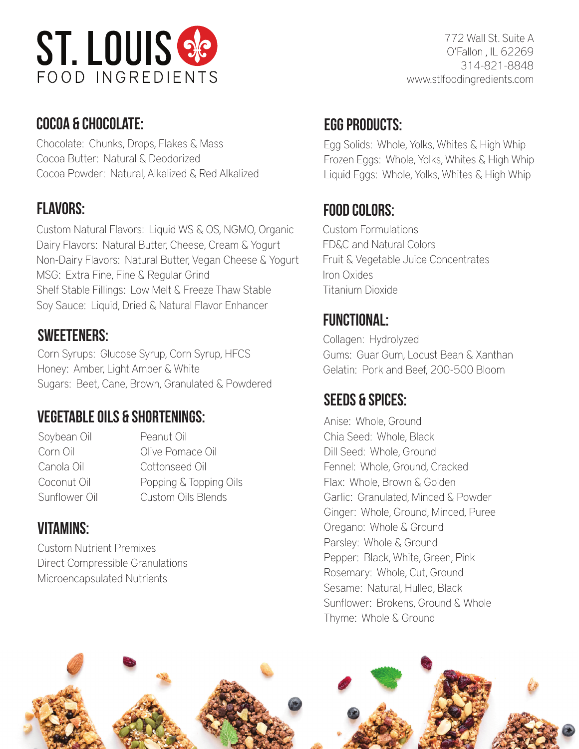

#### cocoa & chocolate: Sugur e Grius<br>Court e Grius

Chocolate: Chunks, Drops, Flakes & Mass Cocoa Butter: Natural & Deodorized Cocoa Powder: Natural, Alkalized & Red Alkalized

Custom Natural Flavors: Liquid WS & OS, NGMO, Organic Dairy Flavors: Natural Butter, Cheese, Cream & Yogurt Non-Dairy Flavors: Natural Butter, Vegan Cheese & Yogurt MSG: Extra Fine, Fine & Regular Grind Shelf Stable Fillings: Low Melt & Freeze Thaw Stable Soy Sauce: Liquid, Dried & Natural Flavor Enhancer

#### sweeteners:

Corn Syrups: Glucose Syrup, Corn Syrup, HFCS Honey: Amber, Light Amber & White Sugars: Beet, Cane, Brown, Granulated & Powdered

#### vegetable oils & shortenings:

Soybean Oil Peanut Oil

Corn Oil **Corn Oil Corn Oil Corn Oil** Canola Oil Cottonseed Oil Coconut Oil Popping & Topping Oils Sunflower Oil Custom Oils Blends

### **VITAMINS:**

Custom Nutrient Premixes Direct Compressible Granulations Microencapsulated Nutrients

#### EGG PRODUCTS:

Egg Solids: Whole, Yolks, Whites & High Whip Frozen Eggs: Whole, Yolks, Whites & High Whip Liquid Eggs: Whole, Yolks, Whites & High Whip

#### flavors: food colors:

Custom Formulations FD&C and Natural Colors Fruit & Vegetable Juice Concentrates Iron Oxides Titanium Dioxide

## FUNCTIONAL:

Collagen: Hydrolyzed Gums: Guar Gum, Locust Bean & Xanthan Gelatin: Pork and Beef, 200-500 Bloom

#### seeds & spices:

Anise: Whole, Ground Chia Seed: Whole, Black Dill Seed: Whole, Ground Fennel: Whole, Ground, Cracked Flax: Whole, Brown & Golden Garlic: Granulated, Minced & Powder Ginger: Whole, Ground, Minced, Puree Oregano: Whole & Ground Parsley: Whole & Ground Pepper: Black, White, Green, Pink Rosemary: Whole, Cut, Ground Sesame: Natural, Hulled, Black Sunflower: Brokens, Ground & Whole Thyme: Whole & Ground